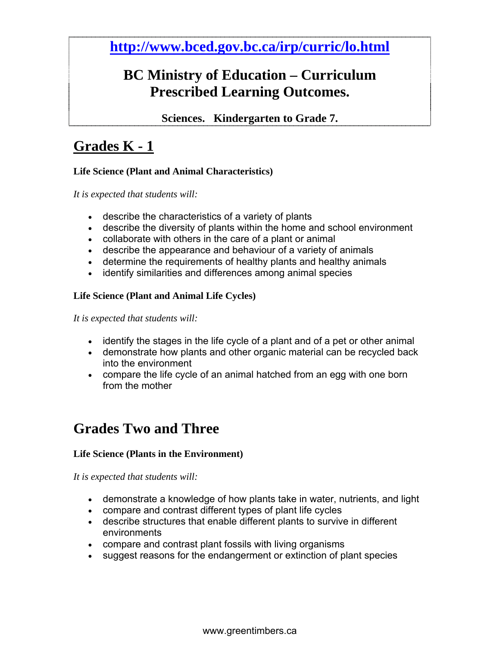**http://www.bced.gov.bc.ca/irp/curric/lo.html**

## **BC Ministry of Education – Curriculum Prescribed Learning Outcomes.**

**Sciences. Kindergarten to Grade 7.**

## **Grades K - 1**

### **Life Science (Plant and Animal Characteristics)**

*It is expected that students will:*

- describe the characteristics of a variety of plants
- describe the diversity of plants within the home and school environment
- collaborate with others in the care of a plant or animal
- describe the appearance and behaviour of a variety of animals
- determine the requirements of healthy plants and healthy animals
- identify similarities and differences among animal species

### **Life Science (Plant and Animal Life Cycles)**

*It is expected that students will:*

- identify the stages in the life cycle of a plant and of a pet or other animal
- demonstrate how plants and other organic material can be recycled back into the environment
- compare the life cycle of an animal hatched from an egg with one born from the mother

## **Grades Two and Three**

### **Life Science (Plants in the Environment)**

*It is expected that students will:*

- demonstrate a knowledge of how plants take in water, nutrients, and light
- compare and contrast different types of plant life cycles
- describe structures that enable different plants to survive in different environments
- compare and contrast plant fossils with living organisms
- suggest reasons for the endangerment or extinction of plant species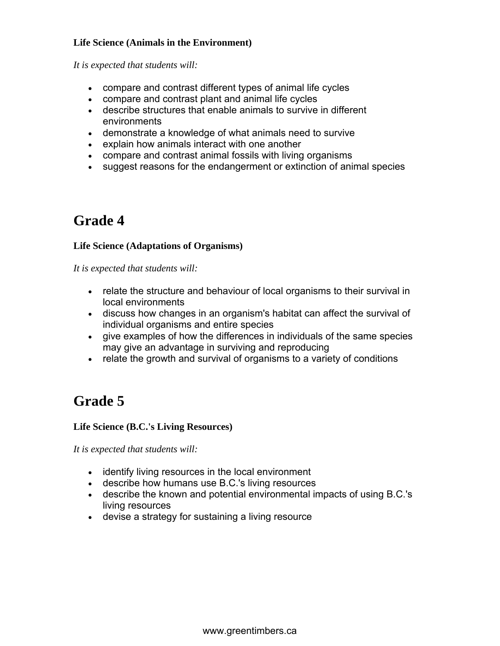### **Life Science (Animals in the Environment)**

*It is expected that students will:*

- compare and contrast different types of animal life cycles
- compare and contrast plant and animal life cycles
- describe structures that enable animals to survive in different environments
- demonstrate a knowledge of what animals need to survive
- explain how animals interact with one another
- compare and contrast animal fossils with living organisms
- suggest reasons for the endangerment or extinction of animal species

## **Grade 4**

### **Life Science (Adaptations of Organisms)**

*It is expected that students will:*

- relate the structure and behaviour of local organisms to their survival in local environments
- discuss how changes in an organism's habitat can affect the survival of individual organisms and entire species
- give examples of how the differences in individuals of the same species may give an advantage in surviving and reproducing
- relate the growth and survival of organisms to a variety of conditions

# **Grade 5**

### **Life Science (B.C.'s Living Resources)**

*It is expected that students will:*

- identify living resources in the local environment
- describe how humans use B.C.'s living resources
- describe the known and potential environmental impacts of using B.C.'s living resources
- devise a strategy for sustaining a living resource